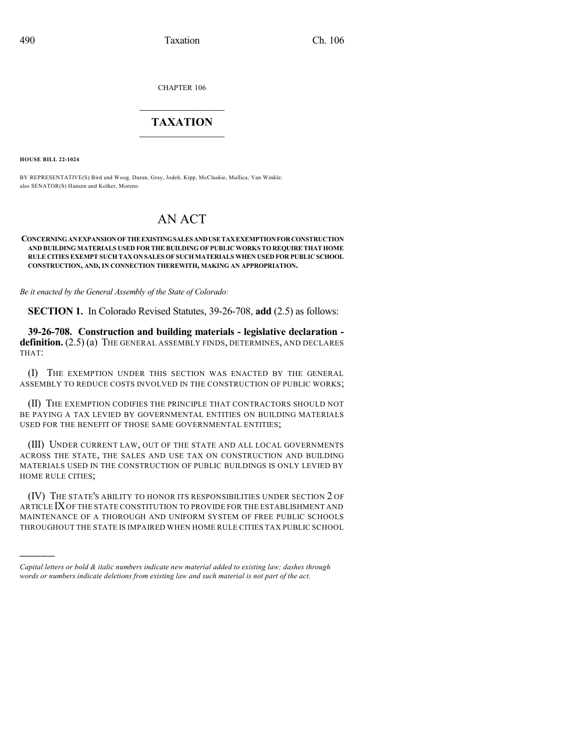CHAPTER 106

## $\mathcal{L}_\text{max}$  . The set of the set of the set of the set of the set of the set of the set of the set of the set of the set of the set of the set of the set of the set of the set of the set of the set of the set of the set **TAXATION**  $\_$

**HOUSE BILL 22-1024**

)))))

BY REPRESENTATIVE(S) Bird and Woog, Duran, Gray, Jodeh, Kipp, McCluskie, Mullica, Van Winkle; also SENATOR(S) Hansen and Kolker, Moreno.

## AN ACT

## **CONCERNINGANEXPANSIONOFTHEEXISTINGSALESANDUSETAXEXEMPTIONFORCONSTRUCTION AND BUILDING MATERIALS USED FOR THE BUILDING OF PUBLICWORKS TO REQUIRE THAT HOME RULE CITIES EXEMPT SUCH TAX ON SALES OF SUCH MATERIALS WHEN USED FOR PUBLIC SCHOOL CONSTRUCTION, AND, IN CONNECTION THEREWITH, MAKING AN APPROPRIATION.**

*Be it enacted by the General Assembly of the State of Colorado:*

**SECTION 1.** In Colorado Revised Statutes, 39-26-708, **add** (2.5) as follows:

**39-26-708. Construction and building materials - legislative declaration definition.** (2.5) (a) THE GENERAL ASSEMBLY FINDS, DETERMINES, AND DECLARES THAT:

(I) THE EXEMPTION UNDER THIS SECTION WAS ENACTED BY THE GENERAL ASSEMBLY TO REDUCE COSTS INVOLVED IN THE CONSTRUCTION OF PUBLIC WORKS;

(II) THE EXEMPTION CODIFIES THE PRINCIPLE THAT CONTRACTORS SHOULD NOT BE PAYING A TAX LEVIED BY GOVERNMENTAL ENTITIES ON BUILDING MATERIALS USED FOR THE BENEFIT OF THOSE SAME GOVERNMENTAL ENTITIES;

(III) UNDER CURRENT LAW, OUT OF THE STATE AND ALL LOCAL GOVERNMENTS ACROSS THE STATE, THE SALES AND USE TAX ON CONSTRUCTION AND BUILDING MATERIALS USED IN THE CONSTRUCTION OF PUBLIC BUILDINGS IS ONLY LEVIED BY HOME RULE CITIES;

(IV) THE STATE'S ABILITY TO HONOR ITS RESPONSIBILITIES UNDER SECTION 2 OF ARTICLE IXOF THE STATE CONSTITUTION TO PROVIDE FOR THE ESTABLISHMENT AND MAINTENANCE OF A THOROUGH AND UNIFORM SYSTEM OF FREE PUBLIC SCHOOLS THROUGHOUT THE STATE IS IMPAIRED WHEN HOME RULE CITIES TAX PUBLIC SCHOOL

*Capital letters or bold & italic numbers indicate new material added to existing law; dashes through words or numbers indicate deletions from existing law and such material is not part of the act.*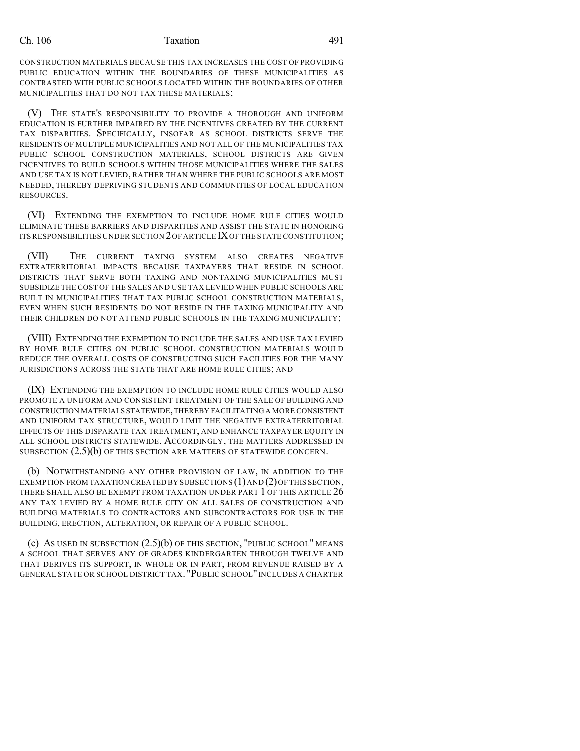## Ch. 106 Taxation 491

CONSTRUCTION MATERIALS BECAUSE THIS TAX INCREASES THE COST OF PROVIDING PUBLIC EDUCATION WITHIN THE BOUNDARIES OF THESE MUNICIPALITIES AS CONTRASTED WITH PUBLIC SCHOOLS LOCATED WITHIN THE BOUNDARIES OF OTHER MUNICIPALITIES THAT DO NOT TAX THESE MATERIALS;

(V) THE STATE'S RESPONSIBILITY TO PROVIDE A THOROUGH AND UNIFORM EDUCATION IS FURTHER IMPAIRED BY THE INCENTIVES CREATED BY THE CURRENT TAX DISPARITIES. SPECIFICALLY, INSOFAR AS SCHOOL DISTRICTS SERVE THE RESIDENTS OF MULTIPLE MUNICIPALITIES AND NOT ALL OF THE MUNICIPALITIES TAX PUBLIC SCHOOL CONSTRUCTION MATERIALS, SCHOOL DISTRICTS ARE GIVEN INCENTIVES TO BUILD SCHOOLS WITHIN THOSE MUNICIPALITIES WHERE THE SALES AND USE TAX IS NOT LEVIED, RATHER THAN WHERE THE PUBLIC SCHOOLS ARE MOST NEEDED, THEREBY DEPRIVING STUDENTS AND COMMUNITIES OF LOCAL EDUCATION RESOURCES.

(VI) EXTENDING THE EXEMPTION TO INCLUDE HOME RULE CITIES WOULD ELIMINATE THESE BARRIERS AND DISPARITIES AND ASSIST THE STATE IN HONORING ITS RESPONSIBILITIES UNDER SECTION 2OFARTICLE IXOF THE STATE CONSTITUTION;

(VII) THE CURRENT TAXING SYSTEM ALSO CREATES NEGATIVE EXTRATERRITORIAL IMPACTS BECAUSE TAXPAYERS THAT RESIDE IN SCHOOL DISTRICTS THAT SERVE BOTH TAXING AND NONTAXING MUNICIPALITIES MUST SUBSIDIZE THE COST OF THE SALES AND USE TAX LEVIED WHEN PUBLIC SCHOOLS ARE BUILT IN MUNICIPALITIES THAT TAX PUBLIC SCHOOL CONSTRUCTION MATERIALS, EVEN WHEN SUCH RESIDENTS DO NOT RESIDE IN THE TAXING MUNICIPALITY AND THEIR CHILDREN DO NOT ATTEND PUBLIC SCHOOLS IN THE TAXING MUNICIPALITY;

(VIII) EXTENDING THE EXEMPTION TO INCLUDE THE SALES AND USE TAX LEVIED BY HOME RULE CITIES ON PUBLIC SCHOOL CONSTRUCTION MATERIALS WOULD REDUCE THE OVERALL COSTS OF CONSTRUCTING SUCH FACILITIES FOR THE MANY JURISDICTIONS ACROSS THE STATE THAT ARE HOME RULE CITIES; AND

(IX) EXTENDING THE EXEMPTION TO INCLUDE HOME RULE CITIES WOULD ALSO PROMOTE A UNIFORM AND CONSISTENT TREATMENT OF THE SALE OF BUILDING AND CONSTRUCTION MATERIALS STATEWIDE,THEREBY FACILITATING A MORE CONSISTENT AND UNIFORM TAX STRUCTURE, WOULD LIMIT THE NEGATIVE EXTRATERRITORIAL EFFECTS OF THIS DISPARATE TAX TREATMENT, AND ENHANCE TAXPAYER EQUITY IN ALL SCHOOL DISTRICTS STATEWIDE. ACCORDINGLY, THE MATTERS ADDRESSED IN SUBSECTION (2.5)(b) OF THIS SECTION ARE MATTERS OF STATEWIDE CONCERN.

(b) NOTWITHSTANDING ANY OTHER PROVISION OF LAW, IN ADDITION TO THE EXEMPTION FROM TAXATION CREATED BY SUBSECTIONS  $(1)$  AND  $(2)$  OF THIS SECTION, THERE SHALL ALSO BE EXEMPT FROM TAXATION UNDER PART 1 OF THIS ARTICLE 26 ANY TAX LEVIED BY A HOME RULE CITY ON ALL SALES OF CONSTRUCTION AND BUILDING MATERIALS TO CONTRACTORS AND SUBCONTRACTORS FOR USE IN THE BUILDING, ERECTION, ALTERATION, OR REPAIR OF A PUBLIC SCHOOL.

(c) AS USED IN SUBSECTION (2.5)(b) OF THIS SECTION, "PUBLIC SCHOOL" MEANS A SCHOOL THAT SERVES ANY OF GRADES KINDERGARTEN THROUGH TWELVE AND THAT DERIVES ITS SUPPORT, IN WHOLE OR IN PART, FROM REVENUE RAISED BY A GENERAL STATE OR SCHOOL DISTRICT TAX. "PUBLIC SCHOOL" INCLUDES A CHARTER